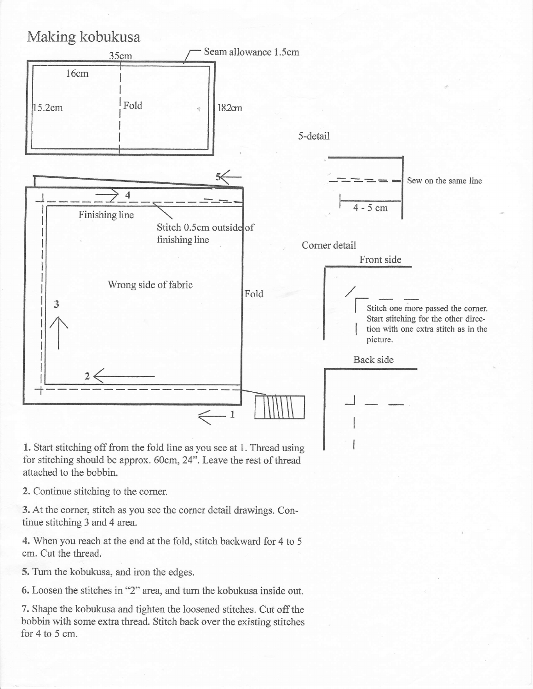## Making kobukusa



1. Start stitching off from the fold line as you see at 1. Thread using for stitching should be approx. 60cm, 24".Leave the rest of thread attached to the bobbin.

2. Continue stitching to the corner.

3. At the comer, stitch as you see the corner detail drawings. Continue stitching 3 and 4 arca.

4. When you reach at the end at the fold, stitch backward for 4 to 5 cm. Cut the thread.

5. Turn the kobukusa, and iron the edges.

6. Loosen the stitches in "2" area, and turn the kobukusa inside out.

7. Shape the kobukusa and tighten the loosened stitches. Cut off the bobbin with some extra thread. Stitch back over the existing stitches for 4 to 5 cm.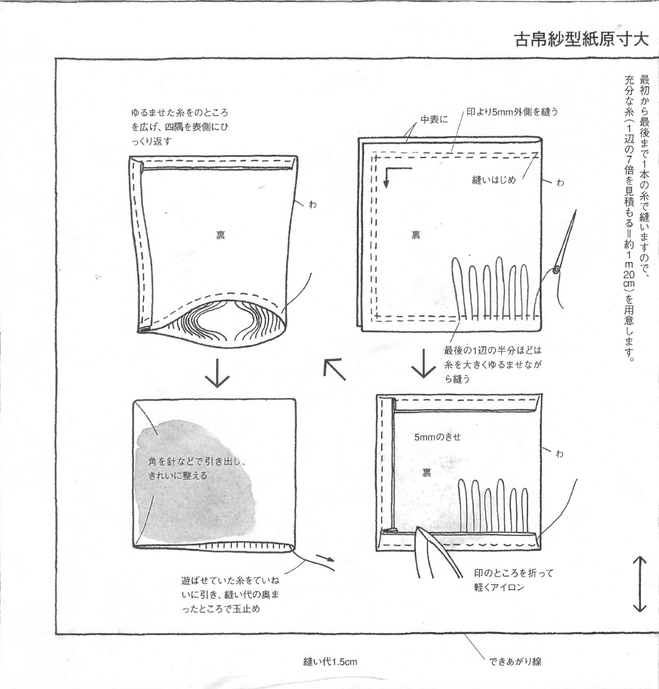## 古帛紗型紙原寸大



できあがり線